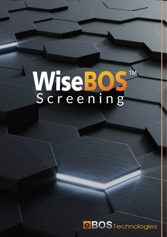# WiseBOS<br>Screening TM

**eBOS** Technologies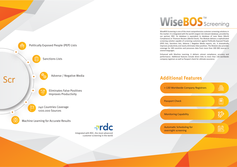Politically Exposed People (PEP) Lists िं Sanctions Lists Adverse / Negative Media ScrEliminates False Positives and<br>Pr Improves Productivity 240 Countries Coverage >200.000 Sources Machine Learning for Accurate Results



## **Additional Features**



WiseBOS Screening is one of the most comprehensive customer screening solutions in the market. It is integrated with the world's largest risk-relevant database, provided by our partner, RDC. Its database is equivalent to database of Lexis Nexis (World Compliance) or Thomson Reuters (World Check). The Module delivers a sophisticated screening solution capable of screening customers against Politically Exposed People (PEP) lists, Sanctions lists, Adverse / Negative Media reports, etc. It dramatically improves productivity and nearly eliminates false positives. The Module also provides coverage for 240 countries and processes data from more than 200 000 sources in several languages.

曲 > 130 Worldwide Company Registrars  $\boxed{\bigoplus_{i=1}^{n}}$ Passport Check Monitoring Capability 翩 Automatic Scheduling for overnight screening

Enhanced with Machine Learning, it delivers utmost compliance, accuracy and performance. Additional features include direct links to more than 130 worldwide company registrars as well as Passport check for ultimate assurance.

Integrated with RDC, the most advanced customer screening in the world

## WiseBOS<sup>TM</sup><br>Screening